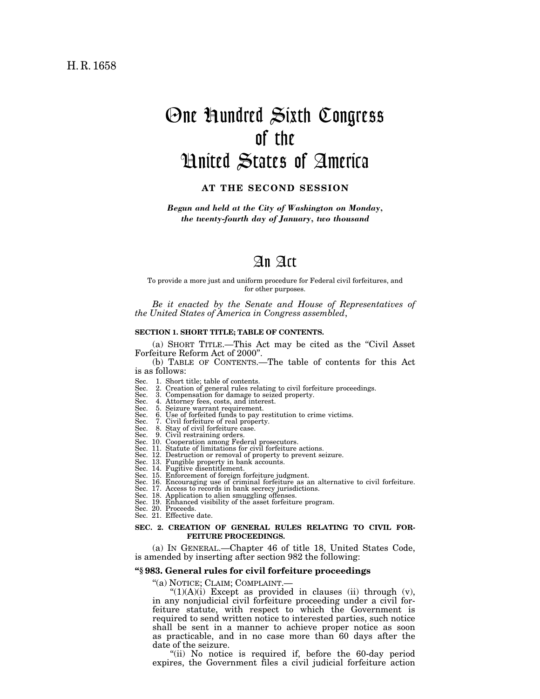# One Hundred Sixth Congress of the United States of America

# **AT THE SECOND SESSION**

*Begun and held at the City of Washington on Monday, the twenty-fourth day of January, two thousand* 

# An Act

To provide a more just and uniform procedure for Federal civil forfeitures, and for other purposes.

*Be it enacted by the Senate and House of Representatives of the United States of America in Congress assembled*,

#### **SECTION 1. SHORT TITLE; TABLE OF CONTENTS.**

(a) SHORT TITLE.—This Act may be cited as the ''Civil Asset Forfeiture Reform Act of 2000''.

(b) TABLE OF CONTENTS.—The table of contents for this Act is as follows:

Sec. 1. Short title; table of contents.

Sec. 2. Creation of general rules relating to civil forfeiture proceedings. Sec. 3. Compensation for damage to seized property.

- 
- Sec. 4. Attorney fees, costs, and interest. Sec. 5. Seizure warrant requirement. Sec. 6. Use of forfeited funds to pay restitution to crime victims.
- 
- Sec. 7. Civil forfeiture of real property. Sec. 8. Stay of civil forfeiture case.
- 
- 
- 
- Sec. 9. Civil restraining orders. Sec. 10. Cooperation among Federal prosecutors. Sec. 11. Statute of limitations for civil forfeiture actions. Sec. 12. Destruction or removal of property to prevent seizure.
- Sec. 13. Fungible property in bank accounts. Sec. 14. Fugitive disentitlement.
- 
- Sec. 15. Enforcement of foreign forfeiture judgment. Sec. 16. Encouraging use of criminal forfeiture as an alternative to civil forfeiture.
- 
- Sec. 17. Access to records in bank secrecy jurisdictions. Sec. 18. Application to alien smuggling offenses.
- Sec. 19. Enhanced visibility of the asset forfeiture program.
- 
- Sec. 20. Proceeds. Sec. 21. Effective date.

#### **SEC. 2. CREATION OF GENERAL RULES RELATING TO CIVIL FOR-FEITURE PROCEEDINGS.**

(a) IN GENERAL.—Chapter 46 of title 18, United States Code, is amended by inserting after section 982 the following:

# **''§ 983. General rules for civil forfeiture proceedings**

''(a) NOTICE; CLAIM; COMPLAINT.—

" $(1)(A)(i)$  Except as provided in clauses (ii) through  $(v)$ , in any nonjudicial civil forfeiture proceeding under a civil forfeiture statute, with respect to which the Government is required to send written notice to interested parties, such notice shall be sent in a manner to achieve proper notice as soon as practicable, and in no case more than 60 days after the date of the seizure.

"(ii) No notice is required if, before the 60-day period expires, the Government files a civil judicial forfeiture action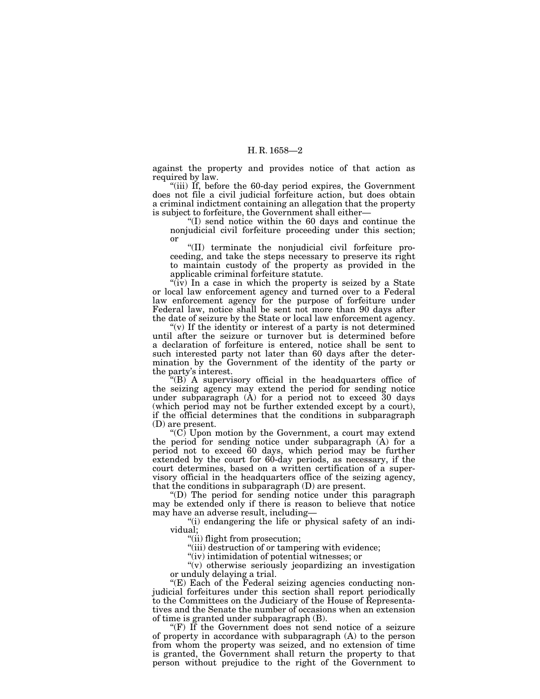against the property and provides notice of that action as required by law.

"(iii) If, before the 60-day period expires, the Government does not file a civil judicial forfeiture action, but does obtain a criminal indictment containing an allegation that the property is subject to forfeiture, the Government shall either—

''(I) send notice within the 60 days and continue the nonjudicial civil forfeiture proceeding under this section; or

''(II) terminate the nonjudicial civil forfeiture proceeding, and take the steps necessary to preserve its right to maintain custody of the property as provided in the applicable criminal forfeiture statute.

" $(i\bar{v})$  In a case in which the property is seized by a State or local law enforcement agency and turned over to a Federal law enforcement agency for the purpose of forfeiture under Federal law, notice shall be sent not more than 90 days after the date of seizure by the State or local law enforcement agency.

"(v) If the identity or interest of a party is not determined until after the seizure or turnover but is determined before a declaration of forfeiture is entered, notice shall be sent to such interested party not later than 60 days after the determination by the Government of the identity of the party or the party's interest.

 $f(B)$  A supervisory official in the headquarters office of the seizing agency may extend the period for sending notice under subparagraph (A) for a period not to exceed 30 days (which period may not be further extended except by a court), if the official determines that the conditions in subparagraph (D) are present.

" $(C)$  Upon motion by the Government, a court may extend the period for sending notice under subparagraph (A) for a period not to exceed 60 days, which period may be further extended by the court for 60-day periods, as necessary, if the court determines, based on a written certification of a supervisory official in the headquarters office of the seizing agency, that the conditions in subparagraph (D) are present.

''(D) The period for sending notice under this paragraph may be extended only if there is reason to believe that notice may have an adverse result, including—

"(i) endangering the life or physical safety of an individual;

"(ii) flight from prosecution;

"(iii) destruction of or tampering with evidence;

''(iv) intimidation of potential witnesses; or

"(v) otherwise seriously jeopardizing an investigation or unduly delaying a trial.

" $(E)$  Each of the Federal seizing agencies conducting nonjudicial forfeitures under this section shall report periodically to the Committees on the Judiciary of the House of Representatives and the Senate the number of occasions when an extension of time is granted under subparagraph (B).

" $(F)$  If the Government does not send notice of a seizure of property in accordance with subparagraph (A) to the person from whom the property was seized, and no extension of time is granted, the Government shall return the property to that person without prejudice to the right of the Government to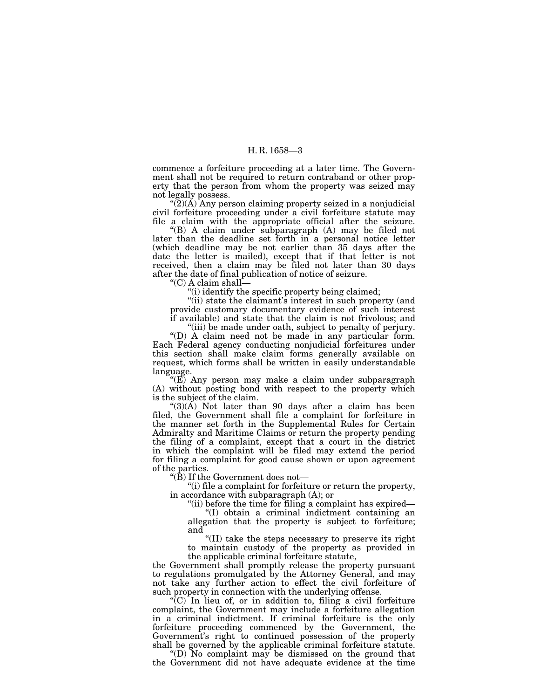commence a forfeiture proceeding at a later time. The Government shall not be required to return contraband or other property that the person from whom the property was seized may not legally possess.

" $(2)(\mathring{A})$  Any person claiming property seized in a nonjudicial civil forfeiture proceeding under a civil forfeiture statute may file a claim with the appropriate official after the seizure.

''(B) A claim under subparagraph (A) may be filed not later than the deadline set forth in a personal notice letter (which deadline may be not earlier than 35 days after the date the letter is mailed), except that if that letter is not received, then a claim may be filed not later than 30 days after the date of final publication of notice of seizure.

''(C) A claim shall—

''(i) identify the specific property being claimed;

"(ii) state the claimant's interest in such property (and provide customary documentary evidence of such interest if available) and state that the claim is not frivolous; and

"(iii) be made under oath, subject to penalty of perjury.

''(D) A claim need not be made in any particular form. Each Federal agency conducting nonjudicial forfeitures under this section shall make claim forms generally available on request, which forms shall be written in easily understandable language.

''(E) Any person may make a claim under subparagraph (A) without posting bond with respect to the property which is the subject of the claim.

" $(3)(\tilde{A})$  Not later than 90 days after a claim has been filed, the Government shall file a complaint for forfeiture in the manner set forth in the Supplemental Rules for Certain Admiralty and Maritime Claims or return the property pending the filing of a complaint, except that a court in the district in which the complaint will be filed may extend the period for filing a complaint for good cause shown or upon agreement of the parties.

"( $\rm \tilde{B}$ ) If the Government does not—

''(i) file a complaint for forfeiture or return the property, in accordance with subparagraph (A); or

''(ii) before the time for filing a complaint has expired—

''(I) obtain a criminal indictment containing an allegation that the property is subject to forfeiture; and

''(II) take the steps necessary to preserve its right to maintain custody of the property as provided in the applicable criminal forfeiture statute,

the Government shall promptly release the property pursuant to regulations promulgated by the Attorney General, and may not take any further action to effect the civil forfeiture of such property in connection with the underlying offense.

"(C) In lieu of, or in addition to, filing a civil forfeiture complaint, the Government may include a forfeiture allegation in a criminal indictment. If criminal forfeiture is the only forfeiture proceeding commenced by the Government, the Government's right to continued possession of the property shall be governed by the applicable criminal forfeiture statute.

''(D) No complaint may be dismissed on the ground that the Government did not have adequate evidence at the time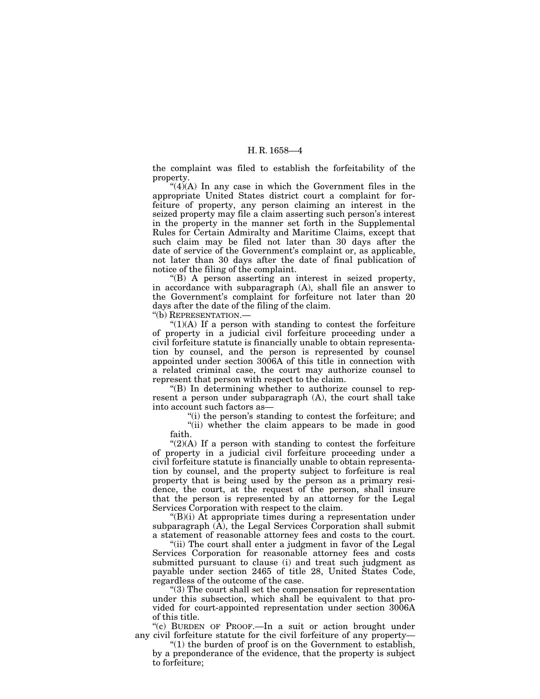the complaint was filed to establish the forfeitability of the property.

 $\mathcal{L}(4)$ (A) In any case in which the Government files in the appropriate United States district court a complaint for forfeiture of property, any person claiming an interest in the seized property may file a claim asserting such person's interest in the property in the manner set forth in the Supplemental Rules for Certain Admiralty and Maritime Claims, except that such claim may be filed not later than 30 days after the date of service of the Government's complaint or, as applicable, not later than 30 days after the date of final publication of notice of the filing of the complaint.

''(B) A person asserting an interest in seized property, in accordance with subparagraph (A), shall file an answer to the Government's complaint for forfeiture not later than 20 days after the date of the filing of the claim.

''(b) REPRESENTATION.—

 $''(1)(A)$  If a person with standing to contest the forfeiture of property in a judicial civil forfeiture proceeding under a civil forfeiture statute is financially unable to obtain representation by counsel, and the person is represented by counsel appointed under section 3006A of this title in connection with a related criminal case, the court may authorize counsel to represent that person with respect to the claim.

''(B) In determining whether to authorize counsel to represent a person under subparagraph (A), the court shall take into account such factors as—

''(i) the person's standing to contest the forfeiture; and

"(ii) whether the claim appears to be made in good

faith.

" $(2)(A)$  If a person with standing to contest the forfeiture of property in a judicial civil forfeiture proceeding under a civil forfeiture statute is financially unable to obtain representation by counsel, and the property subject to forfeiture is real property that is being used by the person as a primary residence, the court, at the request of the person, shall insure that the person is represented by an attorney for the Legal Services Corporation with respect to the claim.

''(B)(i) At appropriate times during a representation under subparagraph (A), the Legal Services Corporation shall submit a statement of reasonable attorney fees and costs to the court.

"(ii) The court shall enter a judgment in favor of the Legal" Services Corporation for reasonable attorney fees and costs submitted pursuant to clause (i) and treat such judgment as payable under section 2465 of title 28, United States Code, regardless of the outcome of the case.

''(3) The court shall set the compensation for representation under this subsection, which shall be equivalent to that provided for court-appointed representation under section 3006A of this title.

''(c) BURDEN OF PROOF.—In a suit or action brought under any civil forfeiture statute for the civil forfeiture of any property—

 $''(1)$  the burden of proof is on the Government to establish, by a preponderance of the evidence, that the property is subject to forfeiture;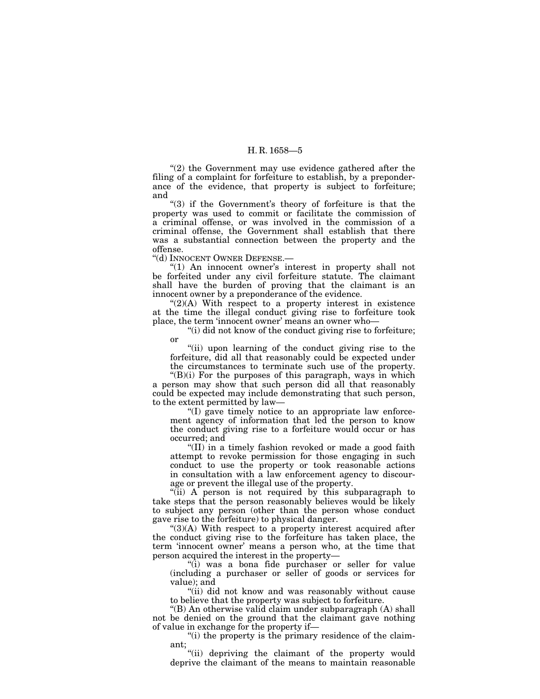" $(2)$  the Government may use evidence gathered after the filing of a complaint for forfeiture to establish, by a preponderance of the evidence, that property is subject to forfeiture; and

''(3) if the Government's theory of forfeiture is that the property was used to commit or facilitate the commission of a criminal offense, or was involved in the commission of a criminal offense, the Government shall establish that there was a substantial connection between the property and the offense.

''(d) INNOCENT OWNER DEFENSE.—

" $(1)$  An innocent owner's interest in property shall not be forfeited under any civil forfeiture statute. The claimant shall have the burden of proving that the claimant is an innocent owner by a preponderance of the evidence.

" $(2)(A)$  With respect to a property interest in existence at the time the illegal conduct giving rise to forfeiture took place, the term 'innocent owner' means an owner who—

''(i) did not know of the conduct giving rise to forfeiture; or

"(ii) upon learning of the conduct giving rise to the forfeiture, did all that reasonably could be expected under the circumstances to terminate such use of the property.

 $\mathcal{L}(B)(i)$  For the purposes of this paragraph, ways in which a person may show that such person did all that reasonably could be expected may include demonstrating that such person, to the extent permitted by law—

''(I) gave timely notice to an appropriate law enforcement agency of information that led the person to know the conduct giving rise to a forfeiture would occur or has occurred; and

''(II) in a timely fashion revoked or made a good faith attempt to revoke permission for those engaging in such conduct to use the property or took reasonable actions in consultation with a law enforcement agency to discourage or prevent the illegal use of the property.

"(ii) A person is not required by this subparagraph to take steps that the person reasonably believes would be likely to subject any person (other than the person whose conduct gave rise to the forfeiture) to physical danger.

 $\Gamma(3)$ (A) With respect to a property interest acquired after the conduct giving rise to the forfeiture has taken place, the term 'innocent owner' means a person who, at the time that person acquired the interest in the property—

''(i) was a bona fide purchaser or seller for value (including a purchaser or seller of goods or services for value); and

''(ii) did not know and was reasonably without cause to believe that the property was subject to forfeiture.

''(B) An otherwise valid claim under subparagraph (A) shall not be denied on the ground that the claimant gave nothing of value in exchange for the property if—

''(i) the property is the primary residence of the claimant;

"(ii) depriving the claimant of the property would deprive the claimant of the means to maintain reasonable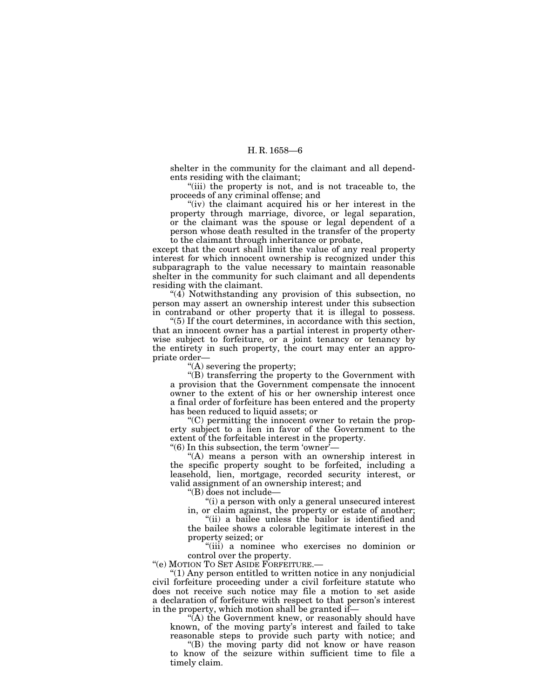shelter in the community for the claimant and all dependents residing with the claimant;

''(iii) the property is not, and is not traceable to, the proceeds of any criminal offense; and

"(iv) the claimant acquired his or her interest in the property through marriage, divorce, or legal separation, or the claimant was the spouse or legal dependent of a person whose death resulted in the transfer of the property to the claimant through inheritance or probate,

except that the court shall limit the value of any real property interest for which innocent ownership is recognized under this subparagraph to the value necessary to maintain reasonable shelter in the community for such claimant and all dependents residing with the claimant.

" $(4)$  Notwithstanding any provision of this subsection, no person may assert an ownership interest under this subsection in contraband or other property that it is illegal to possess.

''(5) If the court determines, in accordance with this section, that an innocent owner has a partial interest in property otherwise subject to forfeiture, or a joint tenancy or tenancy by the entirety in such property, the court may enter an appropriate order—

''(A) severing the property;

''(B) transferring the property to the Government with a provision that the Government compensate the innocent owner to the extent of his or her ownership interest once a final order of forfeiture has been entered and the property has been reduced to liquid assets; or

 $C$ ) permitting the innocent owner to retain the property subject to a lien in favor of the Government to the extent of the forfeitable interest in the property.

"(6) In this subsection, the term 'owner'

''(A) means a person with an ownership interest in the specific property sought to be forfeited, including a leasehold, lien, mortgage, recorded security interest, or valid assignment of an ownership interest; and

''(B) does not include—

''(i) a person with only a general unsecured interest in, or claim against, the property or estate of another;

"(ii) a bailee unless the bailor is identified and the bailee shows a colorable legitimate interest in the property seized; or

''(iii) a nominee who exercises no dominion or control over the property.

''(e) MOTION TO SET ASIDE FORFEITURE.—

 $(1)$  Any person entitled to written notice in any nonjudicial civil forfeiture proceeding under a civil forfeiture statute who does not receive such notice may file a motion to set aside a declaration of forfeiture with respect to that person's interest in the property, which motion shall be granted if—

 $\sqrt{\rm A}$ ) the Government knew, or reasonably should have known, of the moving party's interest and failed to take reasonable steps to provide such party with notice; and

''(B) the moving party did not know or have reason to know of the seizure within sufficient time to file a timely claim.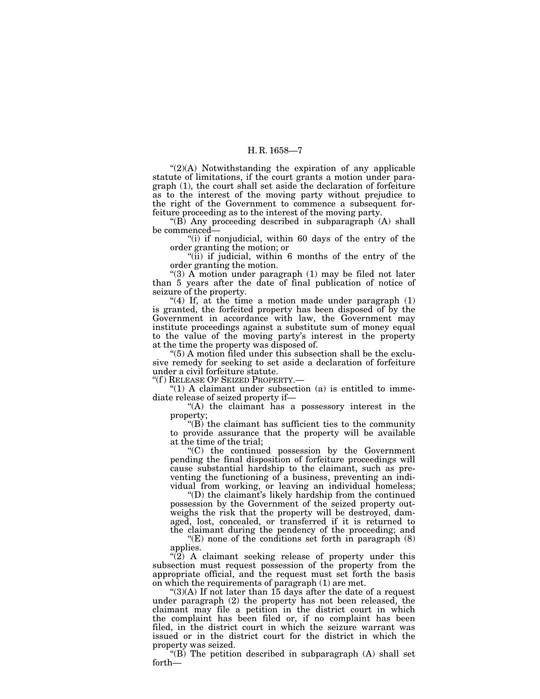$\Gamma(2)$ (A) Notwithstanding the expiration of any applicable statute of limitations, if the court grants a motion under paragraph (1), the court shall set aside the declaration of forfeiture as to the interest of the moving party without prejudice to the right of the Government to commence a subsequent forfeiture proceeding as to the interest of the moving party.

''(B) Any proceeding described in subparagraph (A) shall be commenced—

''(i) if nonjudicial, within 60 days of the entry of the order granting the motion; or

"(ii) if judicial, within 6 months of the entry of the order granting the motion.

" $(3)$  A motion under paragraph  $(1)$  may be filed not later than 5 years after the date of final publication of notice of seizure of the property.

"(4) If, at the time a motion made under paragraph  $(1)$ is granted, the forfeited property has been disposed of by the Government in accordance with law, the Government may institute proceedings against a substitute sum of money equal to the value of the moving party's interest in the property at the time the property was disposed of.

" $(5)$  A motion filed under this subsection shall be the exclusive remedy for seeking to set aside a declaration of forfeiture under a civil forfeiture statute.

''(f ) RELEASE OF SEIZED PROPERTY.—

"(1) A claimant under subsection (a) is entitled to immediate release of seized property if—

"(A) the claimant has a possessory interest in the property;

''(B) the claimant has sufficient ties to the community to provide assurance that the property will be available at the time of the trial;

''(C) the continued possession by the Government pending the final disposition of forfeiture proceedings will cause substantial hardship to the claimant, such as preventing the functioning of a business, preventing an individual from working, or leaving an individual homeless;

''(D) the claimant's likely hardship from the continued possession by the Government of the seized property outweighs the risk that the property will be destroyed, damaged, lost, concealed, or transferred if it is returned to the claimant during the pendency of the proceeding; and

" $(E)$  none of the conditions set forth in paragraph  $(8)$ applies.

 $\sqrt{\frac{2}{2}}$  A claimant seeking release of property under this subsection must request possession of the property from the appropriate official, and the request must set forth the basis on which the requirements of paragraph (1) are met.

" $(3)(A)$  If not later than 15 days after the date of a request under paragraph (2) the property has not been released, the claimant may file a petition in the district court in which the complaint has been filed or, if no complaint has been filed, in the district court in which the seizure warrant was issued or in the district court for the district in which the property was seized.

" $(B)$  The petition described in subparagraph  $(A)$  shall set forth—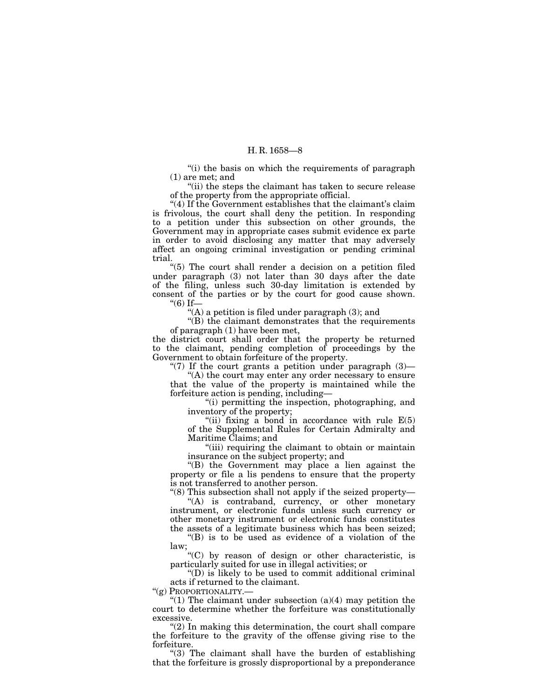"(i) the basis on which the requirements of paragraph (1) are met; and

''(ii) the steps the claimant has taken to secure release of the property from the appropriate official.

''(4) If the Government establishes that the claimant's claim is frivolous, the court shall deny the petition. In responding to a petition under this subsection on other grounds, the Government may in appropriate cases submit evidence ex parte in order to avoid disclosing any matter that may adversely affect an ongoing criminal investigation or pending criminal trial.

''(5) The court shall render a decision on a petition filed under paragraph (3) not later than 30 days after the date of the filing, unless such 30-day limitation is extended by consent of the parties or by the court for good cause shown. " $(6)$  If—

"(A) a petition is filed under paragraph  $(3)$ ; and

''(B) the claimant demonstrates that the requirements of paragraph (1) have been met,

the district court shall order that the property be returned to the claimant, pending completion of proceedings by the Government to obtain forfeiture of the property.

"(7) If the court grants a petition under paragraph  $(3)$ —

"(A) the court may enter any order necessary to ensure that the value of the property is maintained while the forfeiture action is pending, including—

''(i) permitting the inspection, photographing, and inventory of the property;

"(ii) fixing a bond in accordance with rule  $E(5)$ of the Supplemental Rules for Certain Admiralty and Maritime Claims; and

"(iii) requiring the claimant to obtain or maintain insurance on the subject property; and

''(B) the Government may place a lien against the property or file a lis pendens to ensure that the property is not transferred to another person.

 ''(8) This subsection shall not apply if the seized property— ''(A) is contraband, currency, or other monetary

instrument, or electronic funds unless such currency or other monetary instrument or electronic funds constitutes the assets of a legitimate business which has been seized;

''(B) is to be used as evidence of a violation of the law;

''(C) by reason of design or other characteristic, is particularly suited for use in illegal activities; or

''(D) is likely to be used to commit additional criminal acts if returned to the claimant.

''(g) PROPORTIONALITY.—

"(1) The claimant under subsection  $(a)(4)$  may petition the court to determine whether the forfeiture was constitutionally excessive.

 $(2)$  In making this determination, the court shall compare the forfeiture to the gravity of the offense giving rise to the forfeiture.

"(3) The claimant shall have the burden of establishing that the forfeiture is grossly disproportional by a preponderance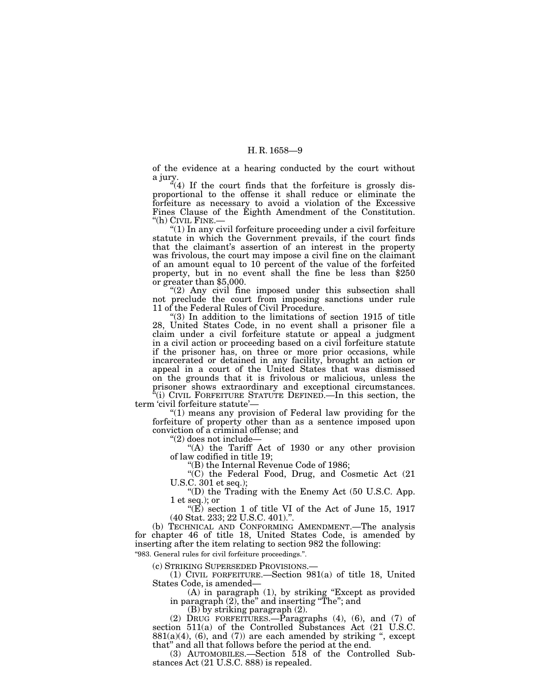of the evidence at a hearing conducted by the court without a jury.

 $(4)$  If the court finds that the forfeiture is grossly disproportional to the offense it shall reduce or eliminate the forfeiture as necessary to avoid a violation of the Excessive Fines Clause of the Eighth Amendment of the Constitution.

''(h) CIVIL FINE.— ''(1) In any civil forfeiture proceeding under a civil forfeiture statute in which the Government prevails, if the court finds that the claimant's assertion of an interest in the property was frivolous, the court may impose a civil fine on the claimant of an amount equal to 10 percent of the value of the forfeited property, but in no event shall the fine be less than \$250 or greater than \$5,000.

" $(2)$  Any civil fine imposed under this subsection shall not preclude the court from imposing sanctions under rule 11 of the Federal Rules of Civil Procedure.

''(3) In addition to the limitations of section 1915 of title 28, United States Code, in no event shall a prisoner file a claim under a civil forfeiture statute or appeal a judgment in a civil action or proceeding based on a civil forfeiture statute if the prisoner has, on three or more prior occasions, while incarcerated or detained in any facility, brought an action or appeal in a court of the United States that was dismissed on the grounds that it is frivolous or malicious, unless the prisoner shows extraordinary and exceptional circumstances.  $\mathbf{F}(i)$  CIVIL FORFEITURE STATUTE DEFINED.—In this section, the term 'civil forfeiture statute'—

''(1) means any provision of Federal law providing for the forfeiture of property other than as a sentence imposed upon conviction of a criminal offense; and

 $\mathrm{``(2)}$  does not include–

"(A) the Tariff Act of 1930 or any other provision of law codified in title 19;

''(B) the Internal Revenue Code of 1986;

''(C) the Federal Food, Drug, and Cosmetic Act (21 U.S.C. 301 et seq.);

''(D) the Trading with the Enemy Act (50 U.S.C. App. 1 et seq.); or

" $(E)$  section 1 of title VI of the Act of June 15, 1917 (40 Stat. 233; 22 U.S.C. 401).''.

(b) TECHNICAL AND CONFORMING AMENDMENT.—The analysis for chapter 46 of title 18, United States Code, is amended by inserting after the item relating to section 982 the following: ''983. General rules for civil forfeiture proceedings.''.

(c) STRIKING SUPERSEDED PROVISIONS.— (1) CIVIL FORFEITURE.—Section 981(a) of title 18, United States Code, is amended—

 $(A)$  in paragraph  $(1)$ , by striking "Except as provided in paragraph (2), the'' and inserting ''The''; and

(B) by striking paragraph (2).

(2) DRUG FORFEITURES.—Paragraphs (4), (6), and (7) of section 511(a) of the Controlled Substances Act (21 U.S.C.  $881(a)(4)$ , (6), and (7)) are each amended by striking ", except that'' and all that follows before the period at the end.

(3) AUTOMOBILES.—Section 518 of the Controlled Substances Act (21 U.S.C. 888) is repealed.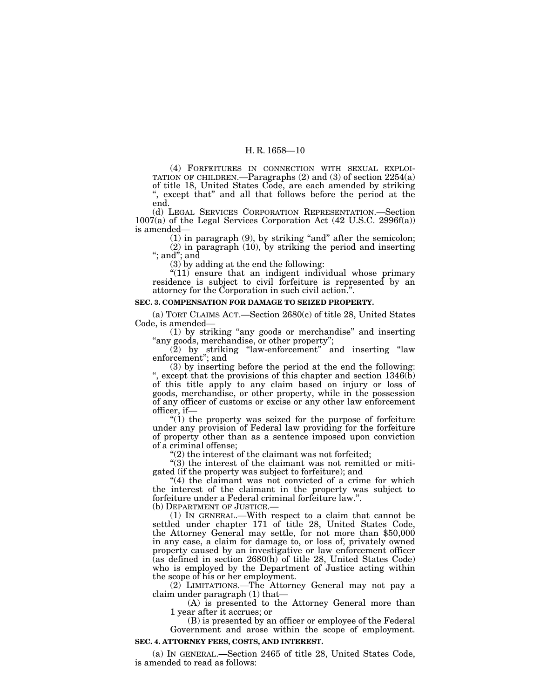(4) FORFEITURES IN CONNECTION WITH SEXUAL EXPLOITATION OF CHILDREN.—Paragraphs (2) and (3) of section  $2254(a)$ of title 18, United States Code, are each amended by striking '', except that'' and all that follows before the period at the end.

(d) LEGAL SERVICES CORPORATION REPRESENTATION.—Section 1007(a) of the Legal Services Corporation Act (42 U.S.C. 2996f(a)) is amended—

 $(1)$  in paragraph  $(9)$ , by striking "and" after the semicolon;  $(2)$  in paragraph  $(10)$ , by striking the period and inserting "; and"; and

(3) by adding at the end the following:

 $(11)$  ensure that an indigent individual whose primary residence is subject to civil forfeiture is represented by an attorney for the Corporation in such civil action.''.

#### **SEC. 3. COMPENSATION FOR DAMAGE TO SEIZED PROPERTY.**

(a) TORT CLAIMS ACT.—Section 2680(c) of title 28, United States Code, is amended—

(1) by striking ''any goods or merchandise'' and inserting ''any goods, merchandise, or other property'';

(2) by striking ''law-enforcement'' and inserting ''law enforcement''; and

(3) by inserting before the period at the end the following: ", except that the provisions of this chapter and section  $1346(\overline{b})$ of this title apply to any claim based on injury or loss of goods, merchandise, or other property, while in the possession of any officer of customs or excise or any other law enforcement officer, if—

" $(1)$  the property was seized for the purpose of forfeiture under any provision of Federal law providing for the forfeiture of property other than as a sentence imposed upon conviction of a criminal offense;

 $(2)$  the interest of the claimant was not forfeited;

 $(3)$  the interest of the claimant was not remitted or mitigated (if the property was subject to forfeiture); and

" $(4)$  the claimant was not convicted of a crime for which the interest of the claimant in the property was subject to forfeiture under a Federal criminal forfeiture law.".<br>(b) DEPARTMENT OF JUSTICE.—

 $(1)$  In GENERAL.—With respect to a claim that cannot be settled under chapter 171 of title 28, United States Code, the Attorney General may settle, for not more than \$50,000 in any case, a claim for damage to, or loss of, privately owned property caused by an investigative or law enforcement officer (as defined in section 2680(h) of title 28, United States Code) who is employed by the Department of Justice acting within the scope of his or her employment.

(2) LIMITATIONS.—The Attorney General may not pay a claim under paragraph (1) that—

(A) is presented to the Attorney General more than 1 year after it accrues; or

(B) is presented by an officer or employee of the Federal Government and arose within the scope of employment.

#### **SEC. 4. ATTORNEY FEES, COSTS, AND INTEREST.**

(a) IN GENERAL.—Section 2465 of title 28, United States Code, is amended to read as follows: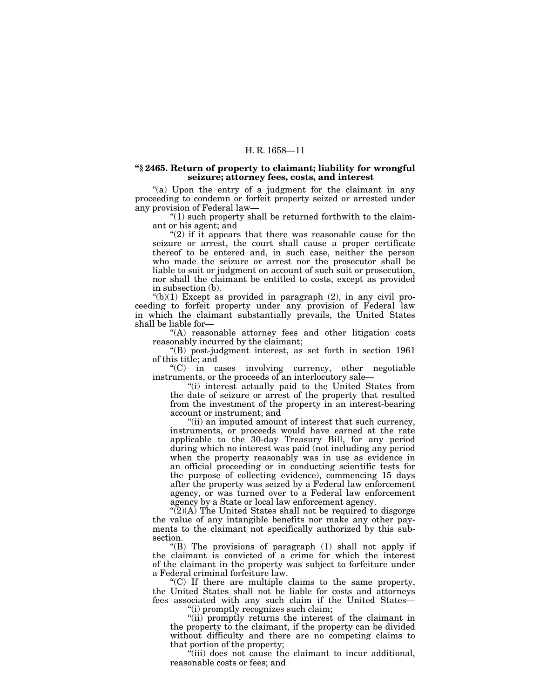#### **''§ 2465. Return of property to claimant; liability for wrongful seizure; attorney fees, costs, and interest**

"(a) Upon the entry of a judgment for the claimant in any proceeding to condemn or forfeit property seized or arrested under any provision of Federal law—

" $(1)$  such property shall be returned forthwith to the claimant or his agent; and

" $(2)$  if it appears that there was reasonable cause for the seizure or arrest, the court shall cause a proper certificate thereof to be entered and, in such case, neither the person who made the seizure or arrest nor the prosecutor shall be liable to suit or judgment on account of such suit or prosecution, nor shall the claimant be entitled to costs, except as provided in subsection (b).

" $(b)(1)$  Except as provided in paragraph  $(2)$ , in any civil proceeding to forfeit property under any provision of Federal law in which the claimant substantially prevails, the United States shall be liable for—

''(A) reasonable attorney fees and other litigation costs reasonably incurred by the claimant;

''(B) post-judgment interest, as set forth in section 1961 of this title; and

''(C) in cases involving currency, other negotiable instruments, or the proceeds of an interlocutory sale—

''(i) interest actually paid to the United States from the date of seizure or arrest of the property that resulted from the investment of the property in an interest-bearing account or instrument; and

"(ii) an imputed amount of interest that such currency, instruments, or proceeds would have earned at the rate applicable to the 30-day Treasury Bill, for any period during which no interest was paid (not including any period when the property reasonably was in use as evidence in an official proceeding or in conducting scientific tests for the purpose of collecting evidence), commencing 15 days after the property was seized by a Federal law enforcement agency, or was turned over to a Federal law enforcement agency by a State or local law enforcement agency.

 $\sqrt{\frac{2}{A}}$  The United States shall not be required to disgorge the value of any intangible benefits nor make any other payments to the claimant not specifically authorized by this subsection.

''(B) The provisions of paragraph (1) shall not apply if the claimant is convicted of a crime for which the interest of the claimant in the property was subject to forfeiture under a Federal criminal forfeiture law.

 $f(C)$  If there are multiple claims to the same property, the United States shall not be liable for costs and attorneys fees associated with any such claim if the United States—

''(i) promptly recognizes such claim;

''(ii) promptly returns the interest of the claimant in the property to the claimant, if the property can be divided without difficulty and there are no competing claims to that portion of the property;

''(iii) does not cause the claimant to incur additional, reasonable costs or fees; and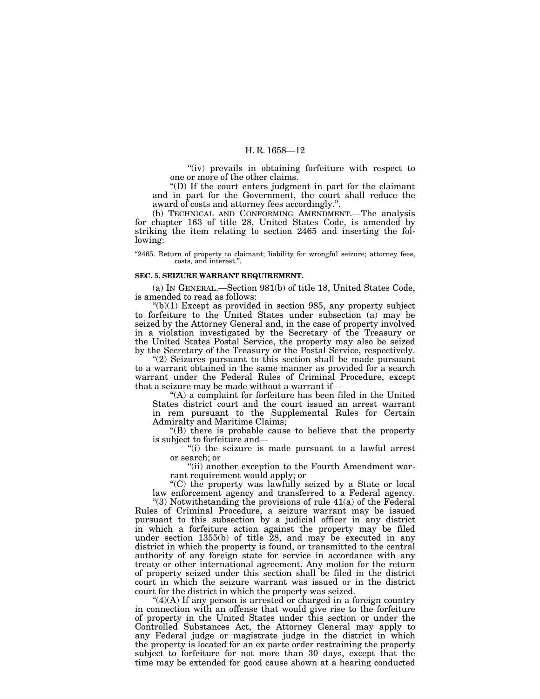"(iv) prevails in obtaining forfeiture with respect to one or more of the other claims.

''(D) If the court enters judgment in part for the claimant and in part for the Government, the court shall reduce the award of costs and attorney fees accordingly.''.

(b) TECHNICAL AND CONFORMING AMENDMENT.—The analysis for chapter 163 of title 28, United States Code, is amended by striking the item relating to section 2465 and inserting the following:

''2465. Return of property to claimant; liability for wrongful seizure; attorney fees, costs, and interest.''.

#### **SEC. 5. SEIZURE WARRANT REQUIREMENT.**

(a) IN GENERAL.—Section 981(b) of title 18, United States Code, is amended to read as follows:

" $(b)(1)$  Except as provided in section 985, any property subject to forfeiture to the United States under subsection (a) may be seized by the Attorney General and, in the case of property involved in a violation investigated by the Secretary of the Treasury or the United States Postal Service, the property may also be seized by the Secretary of the Treasury or the Postal Service, respectively.

"(2) Seizures pursuant to this section shall be made pursuant to a warrant obtained in the same manner as provided for a search warrant under the Federal Rules of Criminal Procedure, except that a seizure may be made without a warrant if—

''(A) a complaint for forfeiture has been filed in the United States district court and the court issued an arrest warrant in rem pursuant to the Supplemental Rules for Certain Admiralty and Maritime Claims;

''(B) there is probable cause to believe that the property is subject to forfeiture and—

''(i) the seizure is made pursuant to a lawful arrest or search; or

"(ii) another exception to the Fourth Amendment warrant requirement would apply; or

''(C) the property was lawfully seized by a State or local law enforcement agency and transferred to a Federal agency.

" $(3)$  Notwithstanding the provisions of rule  $41(a)$  of the Federal Rules of Criminal Procedure, a seizure warrant may be issued pursuant to this subsection by a judicial officer in any district in which a forfeiture action against the property may be filed under section  $1355(b)$  of title 28, and may be executed in any district in which the property is found, or transmitted to the central authority of any foreign state for service in accordance with any treaty or other international agreement. Any motion for the return of property seized under this section shall be filed in the district court in which the seizure warrant was issued or in the district court for the district in which the property was seized.

" $(4)(A)$  If any person is arrested or charged in a foreign country in connection with an offense that would give rise to the forfeiture of property in the United States under this section or under the Controlled Substances Act, the Attorney General may apply to any Federal judge or magistrate judge in the district in which the property is located for an ex parte order restraining the property subject to forfeiture for not more than 30 days, except that the time may be extended for good cause shown at a hearing conducted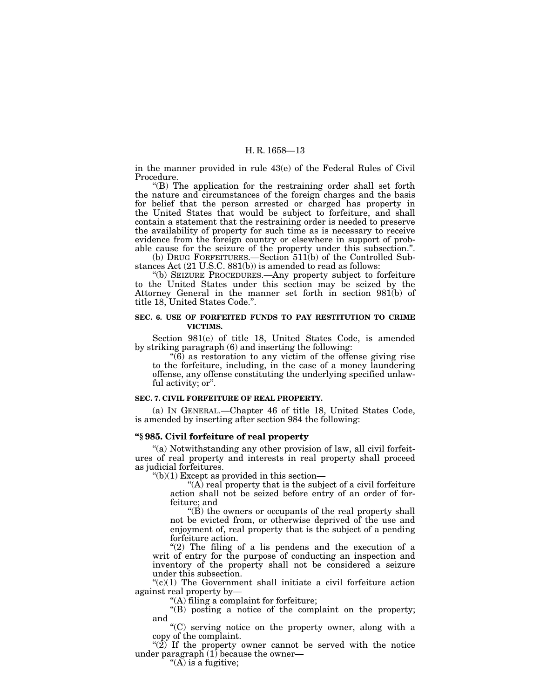in the manner provided in rule 43(e) of the Federal Rules of Civil Procedure.

"(B) The application for the restraining order shall set forth the nature and circumstances of the foreign charges and the basis for belief that the person arrested or charged has property in the United States that would be subject to forfeiture, and shall contain a statement that the restraining order is needed to preserve the availability of property for such time as is necessary to receive evidence from the foreign country or elsewhere in support of probable cause for the seizure of the property under this subsection.''.

(b) DRUG FORFEITURES.—Section 511(b) of the Controlled Substances Act (21 U.S.C. 881(b)) is amended to read as follows:

''(b) SEIZURE PROCEDURES.—Any property subject to forfeiture to the United States under this section may be seized by the Attorney General in the manner set forth in section 981(b) of title 18, United States Code.''.

#### **SEC. 6. USE OF FORFEITED FUNDS TO PAY RESTITUTION TO CRIME VICTIMS.**

Section 981(e) of title 18, United States Code, is amended by striking paragraph (6) and inserting the following:

 $\degree(6)$  as restoration to any victim of the offense giving rise to the forfeiture, including, in the case of a money laundering offense, any offense constituting the underlying specified unlawful activity; or''.

#### **SEC. 7. CIVIL FORFEITURE OF REAL PROPERTY.**

(a) IN GENERAL.—Chapter 46 of title 18, United States Code, is amended by inserting after section 984 the following:

# **''§ 985. Civil forfeiture of real property**

''(a) Notwithstanding any other provision of law, all civil forfeitures of real property and interests in real property shall proceed as judicial forfeitures.

 $"(b)(1)$  Except as provided in this section—

"(A) real property that is the subject of a civil forfeiture action shall not be seized before entry of an order of forfeiture; and

 $\mathrm{``(B)}$  the owners or occupants of the real property shall not be evicted from, or otherwise deprived of the use and enjoyment of, real property that is the subject of a pending forfeiture action.

" $(2)$  The filing of a lis pendens and the execution of a writ of entry for the purpose of conducting an inspection and inventory of the property shall not be considered a seizure under this subsection.

 $(c)(1)$  The Government shall initiate a civil forfeiture action against real property by—

''(A) filing a complaint for forfeiture;

''(B) posting a notice of the complaint on the property; and

''(C) serving notice on the property owner, along with a copy of the complaint.

" $(2)$  If the property owner cannot be served with the notice under paragraph  $(1)$  because the owner—

" $(\overline{A})$  is a fugitive;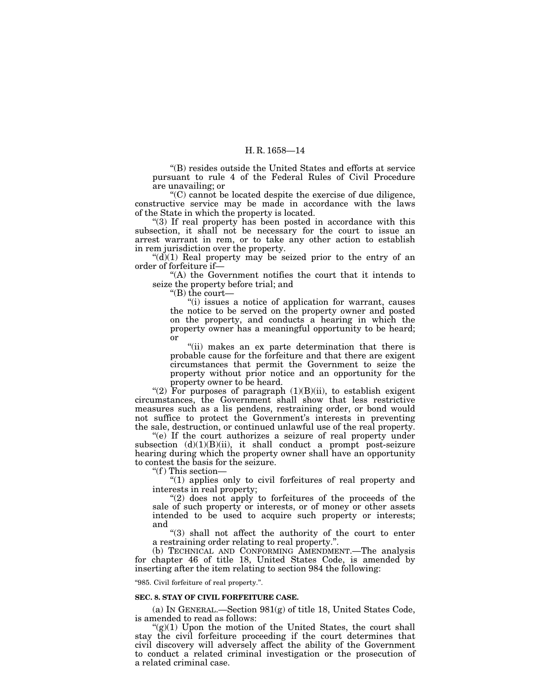''(B) resides outside the United States and efforts at service pursuant to rule 4 of the Federal Rules of Civil Procedure are unavailing; or

''(C) cannot be located despite the exercise of due diligence, constructive service may be made in accordance with the laws of the State in which the property is located.

''(3) If real property has been posted in accordance with this subsection, it shall not be necessary for the court to issue an arrest warrant in rem, or to take any other action to establish in rem jurisdiction over the property.

" $(d)(1)$  Real property may be seized prior to the entry of an order of forfeiture if—

''(A) the Government notifies the court that it intends to seize the property before trial; and

''(B) the court—

''(i) issues a notice of application for warrant, causes the notice to be served on the property owner and posted on the property, and conducts a hearing in which the property owner has a meaningful opportunity to be heard; or

"(ii) makes an ex parte determination that there is probable cause for the forfeiture and that there are exigent circumstances that permit the Government to seize the property without prior notice and an opportunity for the property owner to be heard.

"(2) For purposes of paragraph  $(1)(B)(ii)$ , to establish exigent circumstances, the Government shall show that less restrictive measures such as a lis pendens, restraining order, or bond would not suffice to protect the Government's interests in preventing the sale, destruction, or continued unlawful use of the real property.

"(e) If the court authorizes a seizure of real property under subsection  $(d)(1)(B)(ii)$ , it shall conduct a prompt post-seizure hearing during which the property owner shall have an opportunity to contest the basis for the seizure.

" $(f)$  This section—

''(1) applies only to civil forfeitures of real property and interests in real property;

''(2) does not apply to forfeitures of the proceeds of the sale of such property or interests, or of money or other assets intended to be used to acquire such property or interests; and

''(3) shall not affect the authority of the court to enter a restraining order relating to real property.''.

(b) TECHNICAL AND CONFORMING AMENDMENT.—The analysis for chapter 46 of title 18, United States Code, is amended by inserting after the item relating to section 984 the following:

''985. Civil forfeiture of real property.''.

#### **SEC. 8. STAY OF CIVIL FORFEITURE CASE.**

(a) IN GENERAL.—Section  $981(g)$  of title 18, United States Code, is amended to read as follows:

"(g)(1) Upon the motion of the United States, the court shall stay the civil forfeiture proceeding if the court determines that civil discovery will adversely affect the ability of the Government to conduct a related criminal investigation or the prosecution of a related criminal case.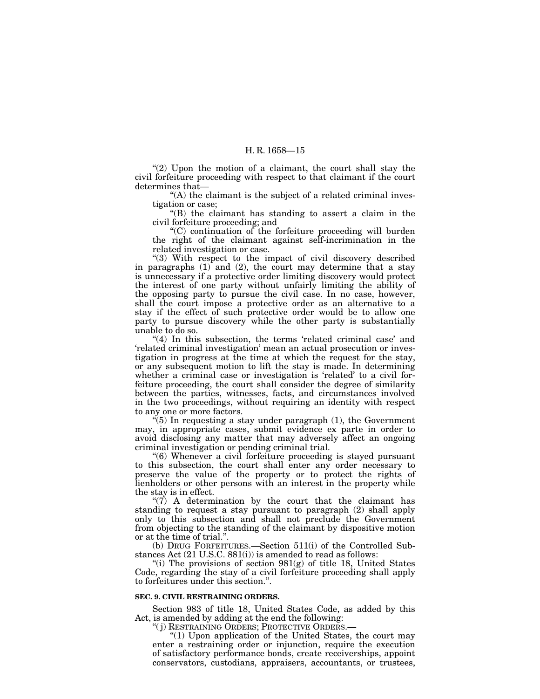"(2) Upon the motion of a claimant, the court shall stay the civil forfeiture proceeding with respect to that claimant if the court determines that—

 $f(A)$  the claimant is the subject of a related criminal investigation or case;

''(B) the claimant has standing to assert a claim in the civil forfeiture proceeding; and

''(C) continuation of the forfeiture proceeding will burden the right of the claimant against self-incrimination in the related investigation or case.

"(3) With respect to the impact of civil discovery described in paragraphs (1) and (2), the court may determine that a stay is unnecessary if a protective order limiting discovery would protect the interest of one party without unfairly limiting the ability of the opposing party to pursue the civil case. In no case, however, shall the court impose a protective order as an alternative to a stay if the effect of such protective order would be to allow one party to pursue discovery while the other party is substantially unable to do so.

"(4) In this subsection, the terms 'related criminal case' and 'related criminal investigation' mean an actual prosecution or investigation in progress at the time at which the request for the stay, or any subsequent motion to lift the stay is made. In determining whether a criminal case or investigation is 'related' to a civil forfeiture proceeding, the court shall consider the degree of similarity between the parties, witnesses, facts, and circumstances involved in the two proceedings, without requiring an identity with respect to any one or more factors.

 $\cdot$ (5) In requesting a stay under paragraph (1), the Government may, in appropriate cases, submit evidence ex parte in order to avoid disclosing any matter that may adversely affect an ongoing criminal investigation or pending criminal trial.

''(6) Whenever a civil forfeiture proceeding is stayed pursuant to this subsection, the court shall enter any order necessary to preserve the value of the property or to protect the rights of lienholders or other persons with an interest in the property while the stay is in effect.

" $(7)$  A determination by the court that the claimant has standing to request a stay pursuant to paragraph (2) shall apply only to this subsection and shall not preclude the Government from objecting to the standing of the claimant by dispositive motion or at the time of trial.''.

(b) DRUG FORFEITURES.—Section 511(i) of the Controlled Substances Act (21 U.S.C. 881(i)) is amended to read as follows:

"(i) The provisions of section  $981(g)$  of title 18, United States Code, regarding the stay of a civil forfeiture proceeding shall apply to forfeitures under this section.''.

#### **SEC. 9. CIVIL RESTRAINING ORDERS.**

Section 983 of title 18, United States Code, as added by this Act, is amended by adding at the end the following:

''( j) RESTRAINING ORDERS; PROTECTIVE ORDERS.—

" $(1)$  Upon application of the United States, the court may enter a restraining order or injunction, require the execution of satisfactory performance bonds, create receiverships, appoint conservators, custodians, appraisers, accountants, or trustees,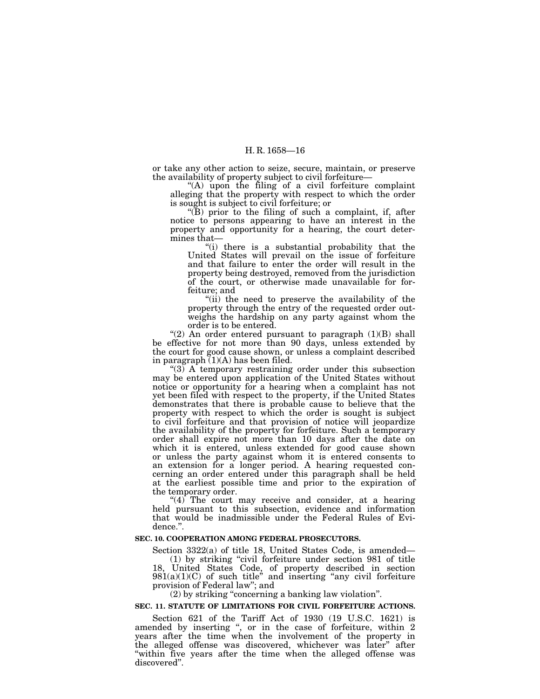or take any other action to seize, secure, maintain, or preserve the availability of property subject to civil forfeiture—

''(A) upon the filing of a civil forfeiture complaint alleging that the property with respect to which the order is sought is subject to civil forfeiture; or

''(B) prior to the filing of such a complaint, if, after notice to persons appearing to have an interest in the property and opportunity for a hearing, the court determines that—

''(i) there is a substantial probability that the United States will prevail on the issue of forfeiture and that failure to enter the order will result in the property being destroyed, removed from the jurisdiction of the court, or otherwise made unavailable for forfeiture; and

"(ii) the need to preserve the availability of the property through the entry of the requested order outweighs the hardship on any party against whom the order is to be entered.

"(2) An order entered pursuant to paragraph  $(1)(B)$  shall be effective for not more than 90 days, unless extended by the court for good cause shown, or unless a complaint described in paragraph (1)(A) has been filed.

 $(3)$  A temporary restraining order under this subsection may be entered upon application of the United States without notice or opportunity for a hearing when a complaint has not yet been filed with respect to the property, if the United States demonstrates that there is probable cause to believe that the property with respect to which the order is sought is subject to civil forfeiture and that provision of notice will jeopardize the availability of the property for forfeiture. Such a temporary order shall expire not more than 10 days after the date on which it is entered, unless extended for good cause shown or unless the party against whom it is entered consents to an extension for a longer period. A hearing requested concerning an order entered under this paragraph shall be held at the earliest possible time and prior to the expiration of the temporary order.

" $(4)$  The court may receive and consider, at a hearing held pursuant to this subsection, evidence and information that would be inadmissible under the Federal Rules of Evidence.''.

#### **SEC. 10. COOPERATION AMONG FEDERAL PROSECUTORS.**

Section 3322(a) of title 18, United States Code, is amended—

(1) by striking ''civil forfeiture under section 981 of title 18, United States Code, of property described in section  $981(a)(1)(C)$  of such title" and inserting "any civil forfeiture provision of Federal law''; and

(2) by striking ''concerning a banking law violation''.

#### **SEC. 11. STATUTE OF LIMITATIONS FOR CIVIL FORFEITURE ACTIONS.**

Section 621 of the Tariff Act of 1930 (19 U.S.C. 1621) is amended by inserting ", or in the case of forfeiture, within 2 years after the time when the involvement of the property in the alleged offense was discovered, whichever was later'' after ''within five years after the time when the alleged offense was discovered''.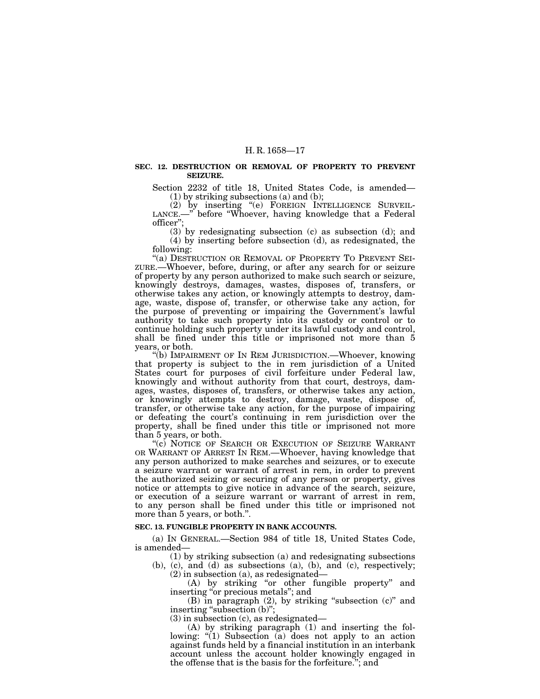#### **SEC. 12. DESTRUCTION OR REMOVAL OF PROPERTY TO PREVENT SEIZURE.**

Section 2232 of title 18, United States Code, is amended— (1) by striking subsections (a) and (b);

(2) by inserting ''(e) FOREIGN INTELLIGENCE SURVEIL LANCE.—'' before ''Whoever, having knowledge that a Federal officer'';

(3) by redesignating subsection (c) as subsection (d); and (4) by inserting before subsection (d), as redesignated, the

following:<br>"(a) DESTRUCTION OR REMOVAL OF PROPERTY TO PREVENT SEI-ZURE.—Whoever, before, during, or after any search for or seizure of property by any person authorized to make such search or seizure, knowingly destroys, damages, wastes, disposes of, transfers, or otherwise takes any action, or knowingly attempts to destroy, damage, waste, dispose of, transfer, or otherwise take any action, for the purpose of preventing or impairing the Government's lawful authority to take such property into its custody or control or to continue holding such property under its lawful custody and control, shall be fined under this title or imprisoned not more than 5 years, or both.

''(b) IMPAIRMENT OF IN REM JURISDICTION.—Whoever, knowing that property is subject to the in rem jurisdiction of a United States court for purposes of civil forfeiture under Federal law, knowingly and without authority from that court, destroys, damages, wastes, disposes of, transfers, or otherwise takes any action, or knowingly attempts to destroy, damage, waste, dispose of, transfer, or otherwise take any action, for the purpose of impairing or defeating the court's continuing in rem jurisdiction over the property, shall be fined under this title or imprisoned not more than 5 years, or both.

"(c) NOTICE OF SEARCH OR EXECUTION OF SEIZURE WARRANT OR WARRANT OF ARREST IN REM.—Whoever, having knowledge that any person authorized to make searches and seizures, or to execute a seizure warrant or warrant of arrest in rem, in order to prevent the authorized seizing or securing of any person or property, gives notice or attempts to give notice in advance of the search, seizure, or execution of a seizure warrant or warrant of arrest in rem, to any person shall be fined under this title or imprisoned not more than 5 years, or both.''.

#### **SEC. 13. FUNGIBLE PROPERTY IN BANK ACCOUNTS.**

(a) IN GENERAL.—Section 984 of title 18, United States Code, is amended—

(1) by striking subsection (a) and redesignating subsections (b), (c), and (d) as subsections (a), (b), and (c), respectively;

(2) in subsection (a), as redesignated—

(A) by striking ''or other fungible property'' and inserting ''or precious metals''; and

(B) in paragraph (2), by striking ''subsection (c)'' and inserting "subsection (b)";

(3) in subsection (c), as redesignated—

(A) by striking paragraph (1) and inserting the following: " $(1)$  Subsection  $(a)$  does not apply to an action against funds held by a financial institution in an interbank account unless the account holder knowingly engaged in the offense that is the basis for the forfeiture.''; and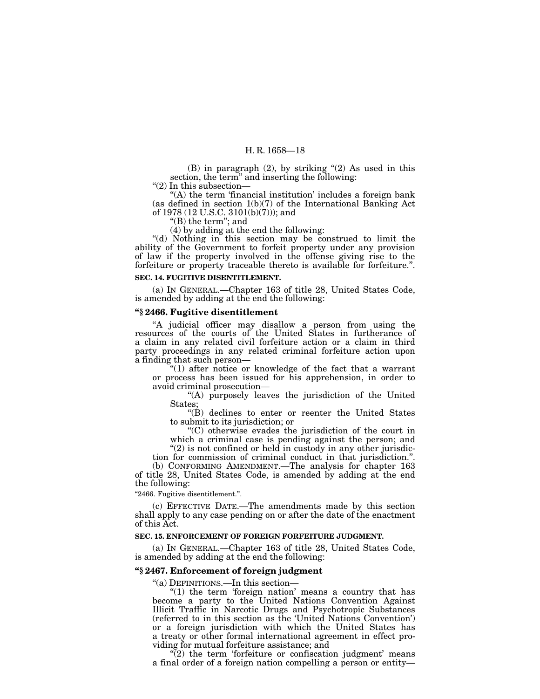(B) in paragraph (2), by striking ''(2) As used in this section, the term'' and inserting the following:

''(2) In this subsection—

" $(A)$  the term 'financial institution' includes a foreign bank (as defined in section 1(b)(7) of the International Banking Act of 1978 (12 U.S.C. 3101(b)(7))); and

''(B) the term''; and

(4) by adding at the end the following:

''(d) Nothing in this section may be construed to limit the ability of the Government to forfeit property under any provision of law if the property involved in the offense giving rise to the forfeiture or property traceable thereto is available for forfeiture.''.

# **SEC. 14. FUGITIVE DISENTITLEMENT.**

(a) IN GENERAL.—Chapter 163 of title 28, United States Code, is amended by adding at the end the following:

#### **''§ 2466. Fugitive disentitlement**

''A judicial officer may disallow a person from using the resources of the courts of the United States in furtherance of a claim in any related civil forfeiture action or a claim in third party proceedings in any related criminal forfeiture action upon a finding that such person—

 $(1)$  after notice or knowledge of the fact that a warrant or process has been issued for his apprehension, in order to avoid criminal prosecution—

''(A) purposely leaves the jurisdiction of the United States;

" $(B)$  declines to enter or reenter the United States to submit to its jurisdiction; or

''(C) otherwise evades the jurisdiction of the court in which a criminal case is pending against the person; and

" $(2)$  is not confined or held in custody in any other jurisdiction for commission of criminal conduct in that jurisdiction.''. (b) CONFORMING AMENDMENT.—The analysis for chapter 163

of title 28, United States Code, is amended by adding at the end the following:

''2466. Fugitive disentitlement.''.

(c) EFFECTIVE DATE.—The amendments made by this section shall apply to any case pending on or after the date of the enactment of this Act.

#### **SEC. 15. ENFORCEMENT OF FOREIGN FORFEITURE JUDGMENT.**

(a) IN GENERAL.—Chapter 163 of title 28, United States Code, is amended by adding at the end the following:

#### **''§ 2467. Enforcement of foreign judgment**

''(a) DEFINITIONS.—In this section—

" $(1)$  the term 'foreign nation' means a country that has become a party to the United Nations Convention Against Illicit Traffic in Narcotic Drugs and Psychotropic Substances (referred to in this section as the 'United Nations Convention') or a foreign jurisdiction with which the United States has a treaty or other formal international agreement in effect providing for mutual forfeiture assistance; and

 $\tilde{C}(2)$  the term 'forfeiture or confiscation judgment' means a final order of a foreign nation compelling a person or entity—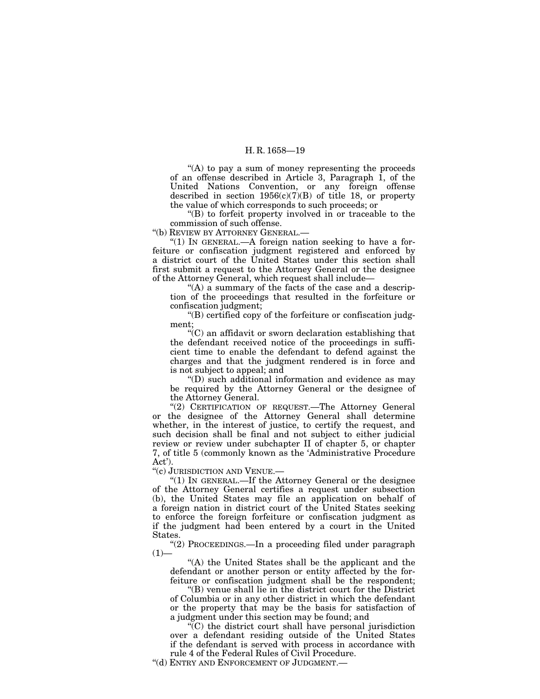"(A) to pay a sum of money representing the proceeds" of an offense described in Article 3, Paragraph 1, of the United Nations Convention, or any foreign offense described in section  $1956(c)(7)(B)$  of title 18, or property the value of which corresponds to such proceeds; or

''(B) to forfeit property involved in or traceable to the commission of such offense.

''(b) REVIEW BY ATTORNEY GENERAL.—

" $(1)$  In GENERAL.—A foreign nation seeking to have a forfeiture or confiscation judgment registered and enforced by a district court of the United States under this section shall first submit a request to the Attorney General or the designee of the Attorney General, which request shall include—

 $(A)$  a summary of the facts of the case and a description of the proceedings that resulted in the forfeiture or confiscation judgment;

''(B) certified copy of the forfeiture or confiscation judgment;

 $C$ ) an affidavit or sworn declaration establishing that the defendant received notice of the proceedings in sufficient time to enable the defendant to defend against the charges and that the judgment rendered is in force and is not subject to appeal; and

 $\mathrm{``(D)}$  such additional information and evidence as may be required by the Attorney General or the designee of the Attorney General.

"(2) CERTIFICATION OF REQUEST. The Attorney General or the designee of the Attorney General shall determine whether, in the interest of justice, to certify the request, and such decision shall be final and not subject to either judicial review or review under subchapter II of chapter 5, or chapter 7, of title 5 (commonly known as the 'Administrative Procedure Act').

''(c) JURISDICTION AND VENUE.—

''(1) IN GENERAL.—If the Attorney General or the designee of the Attorney General certifies a request under subsection (b), the United States may file an application on behalf of a foreign nation in district court of the United States seeking to enforce the foreign forfeiture or confiscation judgment as if the judgment had been entered by a court in the United States.

''(2) PROCEEDINGS.—In a proceeding filed under paragraph  $(1)$ —

''(A) the United States shall be the applicant and the defendant or another person or entity affected by the forfeiture or confiscation judgment shall be the respondent;

''(B) venue shall lie in the district court for the District of Columbia or in any other district in which the defendant or the property that may be the basis for satisfaction of a judgment under this section may be found; and

 $\mathcal{C}(\mathbf{C})$  the district court shall have personal jurisdiction over a defendant residing outside of the United States if the defendant is served with process in accordance with rule 4 of the Federal Rules of Civil Procedure.

''(d) ENTRY AND ENFORCEMENT OF JUDGMENT.—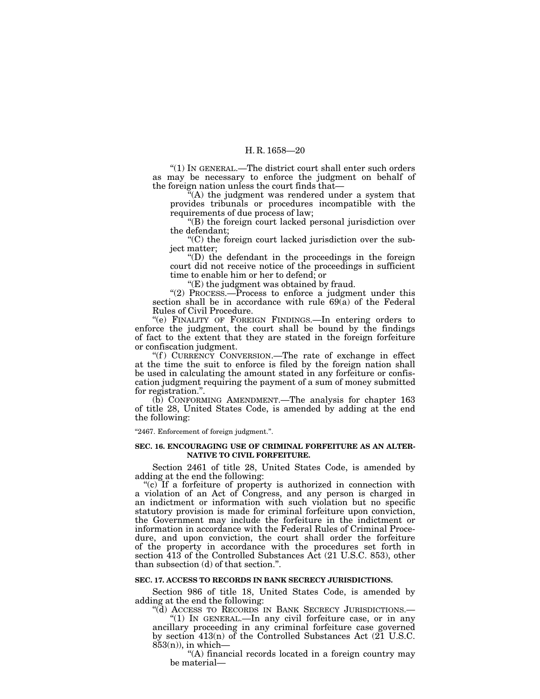''(1) IN GENERAL.—The district court shall enter such orders as may be necessary to enforce the judgment on behalf of the foreign nation unless the court finds that—

 $(A)$  the judgment was rendered under a system that provides tribunals or procedures incompatible with the requirements of due process of law;

''(B) the foreign court lacked personal jurisdiction over the defendant;

 $(C)$  the foreign court lacked jurisdiction over the subject matter;

''(D) the defendant in the proceedings in the foreign court did not receive notice of the proceedings in sufficient time to enable him or her to defend; or

''(E) the judgment was obtained by fraud.

"(2) PROCESS.—Process to enforce a judgment under this section shall be in accordance with rule 69(a) of the Federal Rules of Civil Procedure.

''(e) FINALITY OF FOREIGN FINDINGS.—In entering orders to enforce the judgment, the court shall be bound by the findings of fact to the extent that they are stated in the foreign forfeiture or confiscation judgment.

" $(f)$  CURRENCY CONVERSION.—The rate of exchange in effect at the time the suit to enforce is filed by the foreign nation shall be used in calculating the amount stated in any forfeiture or confiscation judgment requiring the payment of a sum of money submitted for registration.''.

(b) CONFORMING AMENDMENT.—The analysis for chapter 163 of title 28, United States Code, is amended by adding at the end the following:

''2467. Enforcement of foreign judgment.''.

#### **SEC. 16. ENCOURAGING USE OF CRIMINAL FORFEITURE AS AN ALTER-NATIVE TO CIVIL FORFEITURE.**

Section 2461 of title 28, United States Code, is amended by adding at the end the following:

"(c) If a forfeiture of property is authorized in connection with a violation of an Act of Congress, and any person is charged in an indictment or information with such violation but no specific statutory provision is made for criminal forfeiture upon conviction, the Government may include the forfeiture in the indictment or information in accordance with the Federal Rules of Criminal Procedure, and upon conviction, the court shall order the forfeiture of the property in accordance with the procedures set forth in section 413 of the Controlled Substances Act (21 U.S.C. 853), other than subsection (d) of that section.''.

#### **SEC. 17. ACCESS TO RECORDS IN BANK SECRECY JURISDICTIONS.**

Section 986 of title 18, United States Code, is amended by adding at the end the following:

"(d) ACCESS TO RECORDS IN BANK SECRECY JURISDICTIONS.—

" $(1)$  In GENERAL.—In any civil forfeiture case, or in any ancillary proceeding in any criminal forfeiture case governed by section 413(n) of the Controlled Substances Act (21 U.S.C.  $853(n)$ , in which-

''(A) financial records located in a foreign country may be material—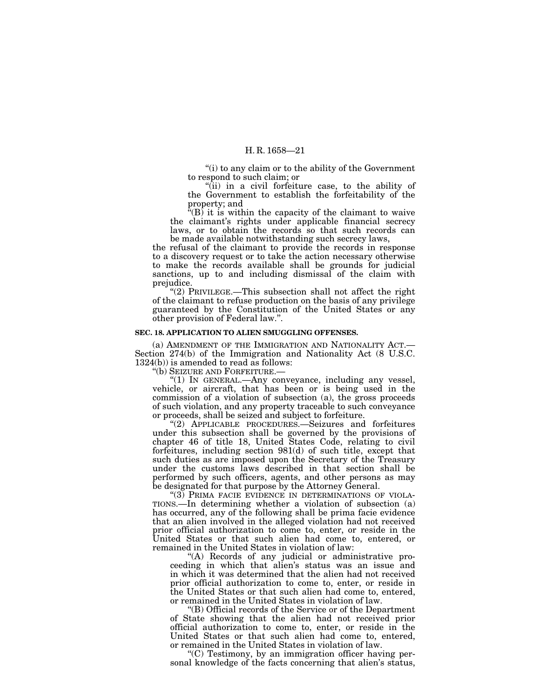''(i) to any claim or to the ability of the Government to respond to such claim; or

''(ii) in a civil forfeiture case, to the ability of the Government to establish the forfeitability of the property; and

 $\sqrt[\text{E}]{B}$  it is within the capacity of the claimant to waive the claimant's rights under applicable financial secrecy laws, or to obtain the records so that such records can be made available notwithstanding such secrecy laws,

the refusal of the claimant to provide the records in response to a discovery request or to take the action necessary otherwise to make the records available shall be grounds for judicial sanctions, up to and including dismissal of the claim with prejudice.

''(2) PRIVILEGE.—This subsection shall not affect the right of the claimant to refuse production on the basis of any privilege guaranteed by the Constitution of the United States or any other provision of Federal law.''.

#### **SEC. 18. APPLICATION TO ALIEN SMUGGLING OFFENSES.**

(a) AMENDMENT OF THE IMMIGRATION AND NATIONALITY ACT.— Section 274(b) of the Immigration and Nationality Act (8 U.S.C. 1324(b)) is amended to read as follows:

''(b) SEIZURE AND FORFEITURE.—

''(1) IN GENERAL.—Any conveyance, including any vessel, vehicle, or aircraft, that has been or is being used in the commission of a violation of subsection (a), the gross proceeds of such violation, and any property traceable to such conveyance or proceeds, shall be seized and subject to forfeiture.

''(2) APPLICABLE PROCEDURES.—Seizures and forfeitures under this subsection shall be governed by the provisions of chapter 46 of title 18, United States Code, relating to civil forfeitures, including section 981(d) of such title, except that such duties as are imposed upon the Secretary of the Treasury under the customs laws described in that section shall be performed by such officers, agents, and other persons as may be designated for that purpose by the Attorney General.<br>"(3) PRIMA FACIE EVIDENCE IN DETERMINATIONS OF VIOLA-

TIONS.—In determining whether a violation of subsection (a) has occurred, any of the following shall be prima facie evidence that an alien involved in the alleged violation had not received prior official authorization to come to, enter, or reside in the United States or that such alien had come to, entered, or remained in the United States in violation of law:

''(A) Records of any judicial or administrative proceeding in which that alien's status was an issue and in which it was determined that the alien had not received prior official authorization to come to, enter, or reside in the United States or that such alien had come to, entered, or remained in the United States in violation of law.

''(B) Official records of the Service or of the Department of State showing that the alien had not received prior official authorization to come to, enter, or reside in the United States or that such alien had come to, entered, or remained in the United States in violation of law.

''(C) Testimony, by an immigration officer having personal knowledge of the facts concerning that alien's status,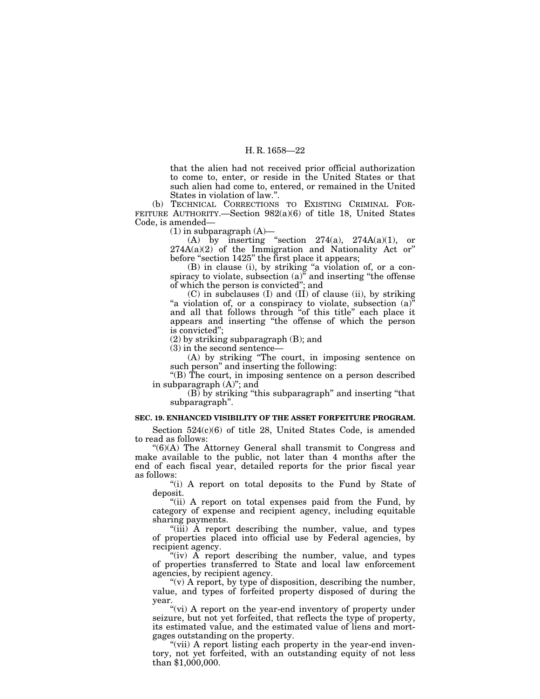that the alien had not received prior official authorization to come to, enter, or reside in the United States or that such alien had come to, entered, or remained in the United States in violation of law.''.

(b) TECHNICAL CORRECTIONS TO EXISTING CRIMINAL FOR-FEITURE AUTHORITY.—Section  $982(a)(6)$  of title 18, United States Code, is amended—

 $(1)$  in subparagraph  $(A)$ –

(A) by inserting "section  $274(a)$ ,  $274A(a)(1)$ , or  $274A(a)(2)$  of the Immigration and Nationality Act or" before "section 1425" the first place it appears;

(B) in clause (i), by striking ''a violation of, or a conspiracy to violate, subsection (a)" and inserting "the offense of which the person is convicted''; and

(C) in subclauses (I) and (II) of clause (ii), by striking "a violation of, or a conspiracy to violate, subsection (a)" and all that follows through "of this title" each place it appears and inserting ''the offense of which the person is convicted'';

(2) by striking subparagraph (B); and

(3) in the second sentence—

(A) by striking ''The court, in imposing sentence on such person'' and inserting the following:

''(B) The court, in imposing sentence on a person described in subparagraph (A)''; and

(B) by striking ''this subparagraph'' and inserting ''that subparagraph''.

#### **SEC. 19. ENHANCED VISIBILITY OF THE ASSET FORFEITURE PROGRAM.**

Section 524(c)(6) of title 28, United States Code, is amended to read as follows:

 $<sup>6</sup>(6)$ (A) The Attorney General shall transmit to Congress and</sup> make available to the public, not later than 4 months after the end of each fiscal year, detailed reports for the prior fiscal year as follows:

"(i) A report on total deposits to the Fund by State of deposit.

"(ii) A report on total expenses paid from the Fund, by category of expense and recipient agency, including equitable sharing payments.

" $(iii)$  A report describing the number, value, and types of properties placed into official use by Federal agencies, by recipient agency.

"(iv)  $\overline{A}$  report describing the number, value, and types of properties transferred to State and local law enforcement agencies, by recipient agency.

"(v) A report, by type of disposition, describing the number, value, and types of forfeited property disposed of during the year.

"(vi) A report on the year-end inventory of property under seizure, but not yet forfeited, that reflects the type of property, its estimated value, and the estimated value of liens and mortgages outstanding on the property.

"(vii) A report listing each property in the year-end inventory, not yet forfeited, with an outstanding equity of not less than \$1,000,000.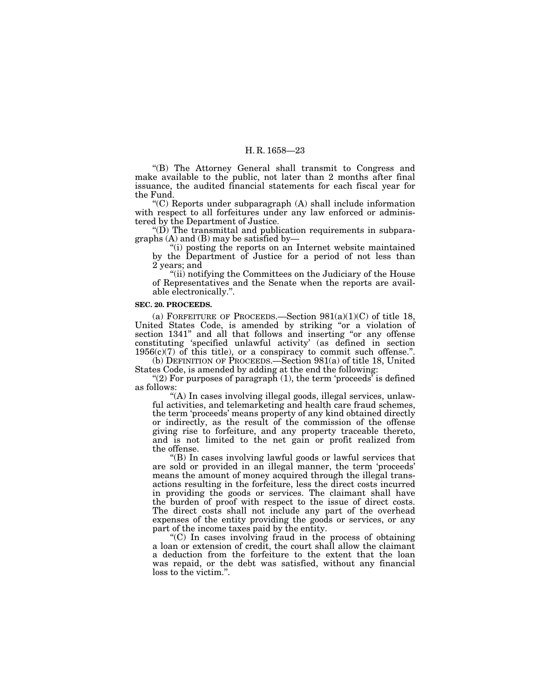''(B) The Attorney General shall transmit to Congress and make available to the public, not later than 2 months after final issuance, the audited financial statements for each fiscal year for the Fund.

''(C) Reports under subparagraph (A) shall include information with respect to all forfeitures under any law enforced or administered by the Department of Justice.

''(D) The transmittal and publication requirements in subparagraphs  $(A)$  and  $(B)$  may be satisfied by—

''(i) posting the reports on an Internet website maintained by the Department of Justice for a period of not less than 2 years; and

''(ii) notifying the Committees on the Judiciary of the House of Representatives and the Senate when the reports are available electronically.''.

#### **SEC. 20. PROCEEDS.**

(a) FORFEITURE OF PROCEEDS.—Section  $981(a)(1)(C)$  of title 18, United States Code, is amended by striking "or a violation of section 1341" and all that follows and inserting "or any offense constituting 'specified unlawful activity' (as defined in section  $1956(c)(7)$  of this title), or a conspiracy to commit such offense.".

(b) DEFINITION OF PROCEEDS.—Section 981(a) of title 18, United States Code, is amended by adding at the end the following:

"(2) For purposes of paragraph  $(1)$ , the term 'proceeds' is defined as follows:

''(A) In cases involving illegal goods, illegal services, unlawful activities, and telemarketing and health care fraud schemes, the term 'proceeds' means property of any kind obtained directly or indirectly, as the result of the commission of the offense giving rise to forfeiture, and any property traceable thereto, and is not limited to the net gain or profit realized from the offense.

''(B) In cases involving lawful goods or lawful services that are sold or provided in an illegal manner, the term 'proceeds' means the amount of money acquired through the illegal transactions resulting in the forfeiture, less the direct costs incurred in providing the goods or services. The claimant shall have the burden of proof with respect to the issue of direct costs. The direct costs shall not include any part of the overhead expenses of the entity providing the goods or services, or any part of the income taxes paid by the entity.

''(C) In cases involving fraud in the process of obtaining a loan or extension of credit, the court shall allow the claimant a deduction from the forfeiture to the extent that the loan was repaid, or the debt was satisfied, without any financial loss to the victim.".